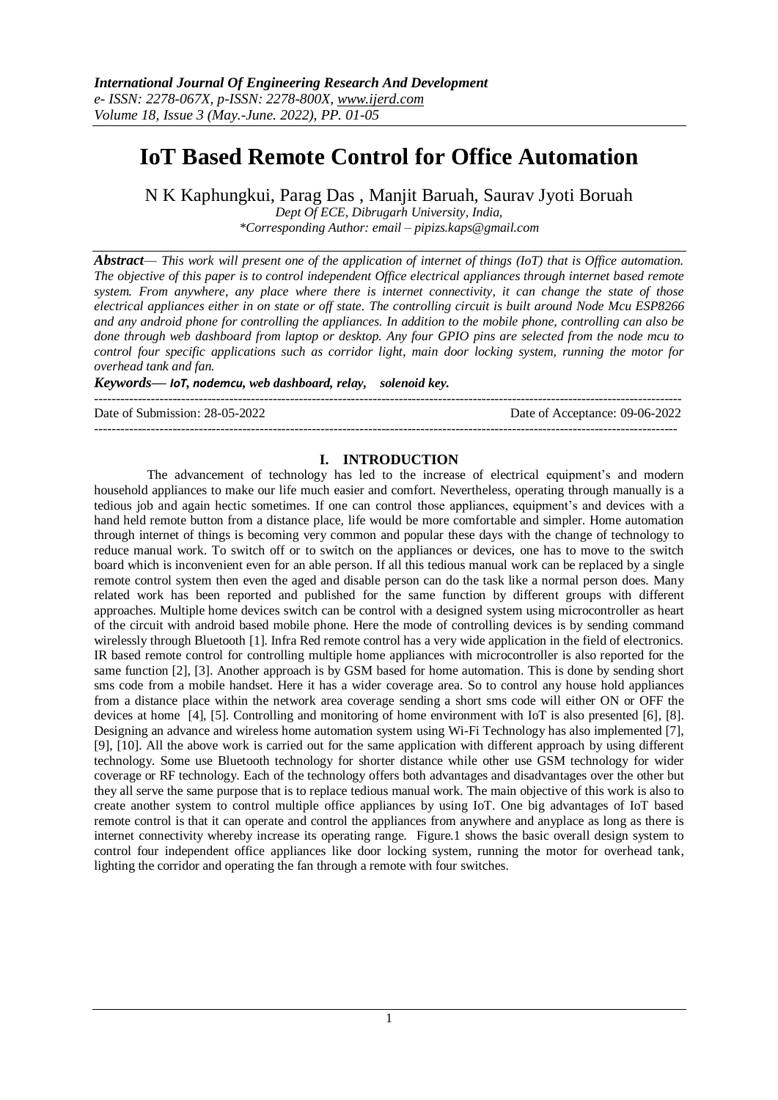# **IoT Based Remote Control for Office Automation**

N K Kaphungkui, Parag Das , Manjit Baruah, Saurav Jyoti Boruah

*Dept Of ECE, Dibrugarh University, India, \*Corresponding Author: email – [pipizs.kaps@gmail.com](mailto:pipizs.kaps@gmail.com)*

*Abstract— This work will present one of the application of internet of things (IoT) that is Office automation. The objective of this paper is to control independent Office electrical appliances through internet based remote system. From anywhere, any place where there is internet connectivity, it can change the state of those electrical appliances either in on state or off state. The controlling circuit is built around Node Mcu ESP8266 and any android phone for controlling the appliances. In addition to the mobile phone, controlling can also be done through web dashboard from laptop or desktop. Any four GPIO pins are selected from the node mcu to control four specific applications such as corridor light, main door locking system, running the motor for overhead tank and fan.* 

*Keywords— IoT, nodemcu, web dashboard, relay, solenoid key.*

---------------------------------------------------------------------------------------------------------------------------------------

Date of Submission: 28-05-2022 Date of Acceptance: 09-06-2022

## **I. INTRODUCTION**

--------------------------------------------------------------------------------------------------------------------------------------

The advancement of technology has led to the increase of electrical equipment's and modern household appliances to make our life much easier and comfort. Nevertheless, operating through manually is a tedious job and again hectic sometimes. If one can control those appliances, equipment's and devices with a hand held remote button from a distance place, life would be more comfortable and simpler. Home automation through internet of things is becoming very common and popular these days with the change of technology to reduce manual work. To switch off or to switch on the appliances or devices, one has to move to the switch board which is inconvenient even for an able person. If all this tedious manual work can be replaced by a single remote control system then even the aged and disable person can do the task like a normal person does. Many related work has been reported and published for the same function by different groups with different approaches. Multiple home devices switch can be control with a designed system using microcontroller as heart of the circuit with android based mobile phone. Here the mode of controlling devices is by sending command wirelessly through Bluetooth [1]. Infra Red remote control has a very wide application in the field of electronics. IR based remote control for controlling multiple home appliances with microcontroller is also reported for the same function [2], [3]. Another approach is by GSM based for home automation. This is done by sending short sms code from a mobile handset. Here it has a wider coverage area. So to control any house hold appliances from a distance place within the network area coverage sending a short sms code will either ON or OFF the devices at home [4], [5]. Controlling and monitoring of home environment with IoT is also presented [6], [8]. Designing an advance and wireless home automation system using Wi-Fi Technology has also implemented [7], [9], [10]. All the above work is carried out for the same application with different approach by using different technology. Some use Bluetooth technology for shorter distance while other use GSM technology for wider coverage or RF technology. Each of the technology offers both advantages and disadvantages over the other but they all serve the same purpose that is to replace tedious manual work. The main objective of this work is also to create another system to control multiple office appliances by using IoT. One big advantages of IoT based remote control is that it can operate and control the appliances from anywhere and anyplace as long as there is internet connectivity whereby increase its operating range. Figure.1 shows the basic overall design system to control four independent office appliances like door locking system, running the motor for overhead tank, lighting the corridor and operating the fan through a remote with four switches.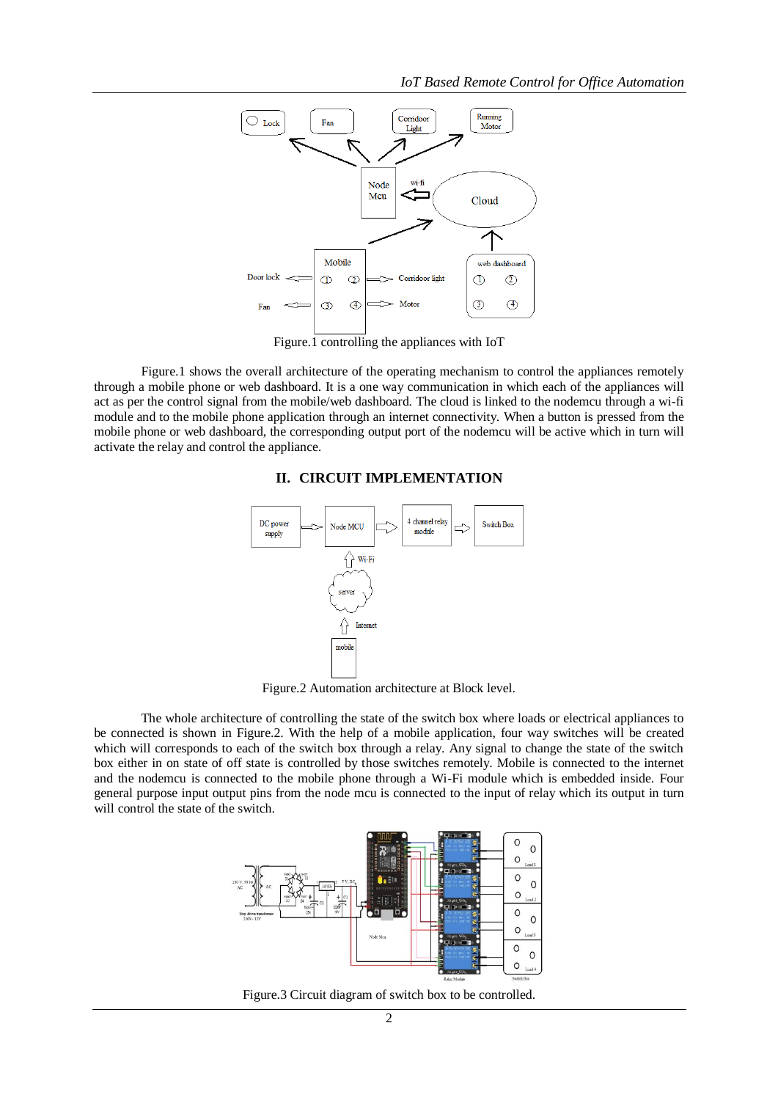

Figure.1 controlling the appliances with IoT

Figure.1 shows the overall architecture of the operating mechanism to control the appliances remotely through a mobile phone or web dashboard. It is a one way communication in which each of the appliances will act as per the control signal from the mobile/web dashboard. The cloud is linked to the nodemcu through a wi-fi module and to the mobile phone application through an internet connectivity. When a button is pressed from the mobile phone or web dashboard, the corresponding output port of the nodemcu will be active which in turn will activate the relay and control the appliance.

### **II. CIRCUIT IMPLEMENTATION**



Figure.2 Automation architecture at Block level.

The whole architecture of controlling the state of the switch box where loads or electrical appliances to be connected is shown in Figure.2. With the help of a mobile application, four way switches will be created which will corresponds to each of the switch box through a relay. Any signal to change the state of the switch box either in on state of off state is controlled by those switches remotely. Mobile is connected to the internet and the nodemcu is connected to the mobile phone through a Wi-Fi module which is embedded inside. Four general purpose input output pins from the node mcu is connected to the input of relay which its output in turn will control the state of the switch.



Figure.3 Circuit diagram of switch box to be controlled.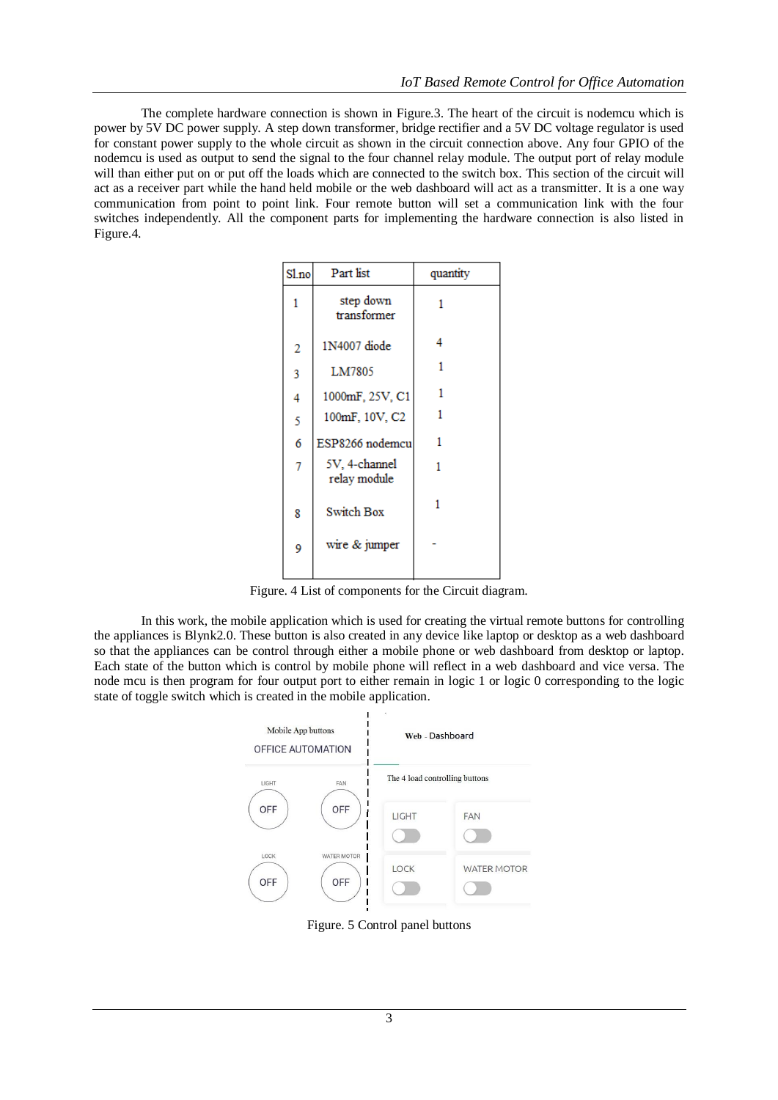The complete hardware connection is shown in Figure.3. The heart of the circuit is nodemcu which is power by 5V DC power supply. A step down transformer, bridge rectifier and a 5V DC voltage regulator is used for constant power supply to the whole circuit as shown in the circuit connection above. Any four GPIO of the nodemcu is used as output to send the signal to the four channel relay module. The output port of relay module will than either put on or put off the loads which are connected to the switch box. This section of the circuit will act as a receiver part while the hand held mobile or the web dashboard will act as a transmitter. It is a one way communication from point to point link. Four remote button will set a communication link with the four switches independently. All the component parts for implementing the hardware connection is also listed in Figure.4.

| Sl.no          | Part list                     | quantity |
|----------------|-------------------------------|----------|
| 1              | step down<br>transformer      | 1        |
| $\overline{2}$ | 1N4007 diode                  | 4        |
| 3              | LM7805                        | 1        |
| 4              | 1000mF, 25V, C1               | 1        |
| 5              | 100mF, 10V, C2                |          |
| 6              | ESP8266 nodemcu               | 1        |
| 7              | 5V, 4-channel<br>relay module |          |
| 8              | <b>Switch Box</b>             | 1        |
| 9              | wire & jumper                 |          |
|                |                               |          |

Figure. 4 List of components for the Circuit diagram.

In this work, the mobile application which is used for creating the virtual remote buttons for controlling the appliances is Blynk2.0. These button is also created in any device like laptop or desktop as a web dashboard so that the appliances can be control through either a mobile phone or web dashboard from desktop or laptop. Each state of the button which is control by mobile phone will reflect in a web dashboard and vice versa. The node mcu is then program for four output port to either remain in logic 1 or logic 0 corresponding to the logic state of toggle switch which is created in the mobile application.



Figure. 5 Control panel buttons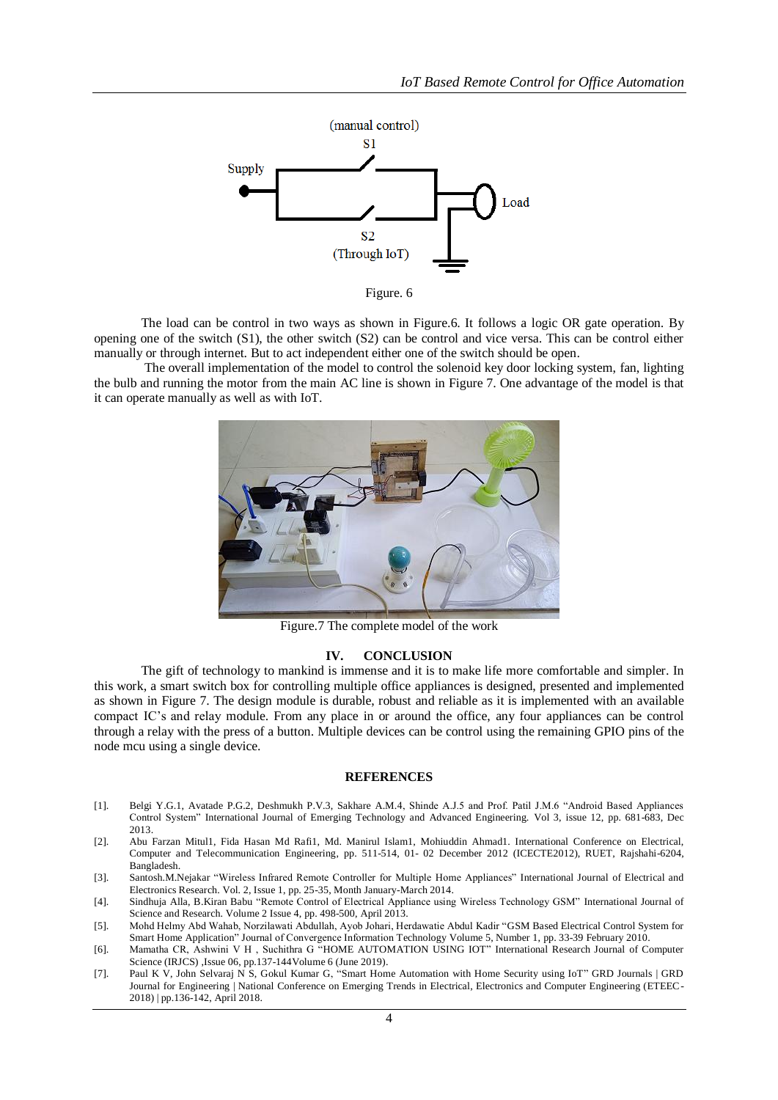

Figure. 6

The load can be control in two ways as shown in Figure.6. It follows a logic OR gate operation. By opening one of the switch (S1), the other switch (S2) can be control and vice versa. This can be control either manually or through internet. But to act independent either one of the switch should be open.

The overall implementation of the model to control the solenoid key door locking system, fan, lighting the bulb and running the motor from the main AC line is shown in Figure 7. One advantage of the model is that it can operate manually as well as with IoT.



Figure.7 The complete model of the work

#### **IV. CONCLUSION**

The gift of technology to mankind is immense and it is to make life more comfortable and simpler. In this work, a smart switch box for controlling multiple office appliances is designed, presented and implemented as shown in Figure 7. The design module is durable, robust and reliable as it is implemented with an available compact IC's and relay module. From any place in or around the office, any four appliances can be control through a relay with the press of a button. Multiple devices can be control using the remaining GPIO pins of the node mcu using a single device.

#### **REFERENCES**

- [1]. Belgi Y.G.1, Avatade P.G.2, Deshmukh P.V.3, Sakhare A.M.4, Shinde A.J.5 and Prof. Patil J.M.6 "Android Based Appliances Control System" International Journal of Emerging Technology and Advanced Engineering. Vol 3, issue 12, pp. 681-683, Dec 2013.
- [2]. Abu Farzan Mitul1, Fida Hasan Md Rafi1, Md. Manirul Islam1, Mohiuddin Ahmad1. International Conference on Electrical, Computer and Telecommunication Engineering, pp. 511-514, 01- 02 December 2012 (ICECTE2012), RUET, Rajshahi-6204, Bangladesh.
- [3]. Santosh.M.Nejakar "Wireless Infrared Remote Controller for Multiple Home Appliances" International Journal of Electrical and Electronics Research. Vol. 2, Issue 1, pp. 25-35, Month January-March 2014.
- [4]. Sindhuja Alla, B.Kiran Babu "Remote Control of Electrical Appliance using Wireless Technology GSM" International Journal of Science and Research. Volume 2 Issue 4, pp. 498-500, April 2013.
- [5]. Mohd Helmy Abd Wahab, Norzilawati Abdullah, Ayob Johari, Herdawatie Abdul Kadir "GSM Based Electrical Control System for Smart Home Application" Journal of Convergence Information Technology Volume 5, Number 1, pp. 33-39 February 2010.
- [6]. Mamatha CR, Ashwini V H , Suchithra G "HOME AUTOMATION USING IOT" International Research Journal of Computer Science (IRJCS) ,Issue 06, pp.137-144Volume 6 (June 2019).
- [7]. Paul K V, John Selvaraj N S, Gokul Kumar G, "Smart Home Automation with Home Security using IoT" GRD Journals | GRD Journal for Engineering | National Conference on Emerging Trends in Electrical, Electronics and Computer Engineering (ETEEC-2018) | pp.136-142, April 2018.